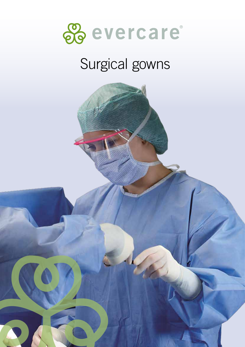

# Surgical gowns

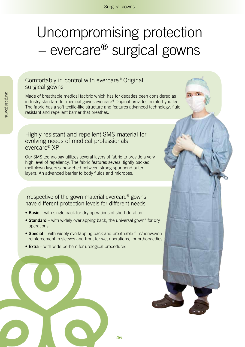# Uncompromising protection – evercare® surgical gowns

#### Comfortably in control with evercare® Original surgical gowns

Made of breathable medical facbric which has for decades been considered as industry standard for medical gowns evercare® Original provides comfort you feel. The fabric has a soft textile-like structure and features advanced technology: fluid resistant and repellent barrier that breathes.

#### Highly resistant and repellent SMS-material for evolving needs of medical professionals evercare® XP

Our SMS technology utilizes several layers of fabric to provide a very high level of repellency. The fabric features several tightly packed meltblown layers sandwiched between strong spunbond outer layers. An advanced barrier to body fluids and microbes.

Irrespective of the gown material evercare® gowns have different protection levels for different needs

- **• Basic** with single back for dry operations of short duration
- **• Standard** with widely overlapping back, the universal gown" for dry operations
- **• Special** with widely overlapping back and breathable film/nonwoven reinforcement in sleeves and front for wet operations, for orthopaedics
- **• Extra** with wide pe-hem for urological procedures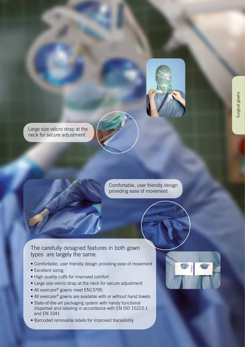

Large size velcro strap at the neck for secure adjustment

> Comfortable, user friendly design providing ease of movement

The carefully designed features in both gown types are largely the same

- Comfortable, user friendly design providing ease of movement
- Excellent sizing
- High quality cuffs for improved comfort
- Large size velcro strap at the neck for secure adjustment
- All evercare® gowns meet EN13795
- All evercare® gowns are available with or without hand towels
- State-of-the-art packaging system with handy functional dispenser and labeling in accordance with EN ISO 15223-1 and EN 1041
- Barcoded removable labels for improved traceability

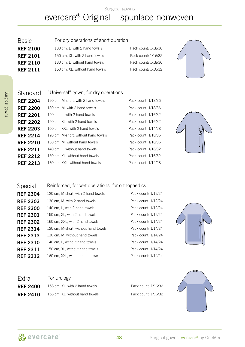Surgical gowns

## evercare® Original – spunlace nonwoven

| <b>Basic</b>    | For dry operations of short duration |                     |
|-----------------|--------------------------------------|---------------------|
| <b>REF 2100</b> | 130 cm, L, with 2 hand towels        | Pack count: 1/18/36 |
| <b>REF 2101</b> | 150 cm, XL, with 2 hand towels       | Pack count: 1/16/32 |
| <b>REF 2110</b> | 130 cm, L, without hand towels       | Pack count: 1/18/36 |
| <b>REF 2111</b> | 150 cm, XL, without hand towels      | Pack count: 1/16/32 |
|                 |                                      |                     |



#### Standard "Universal" gown, for dry operations **REF 2204** 120 cm, M-short, with 2 hand towels Pack count: 1/18/36 **REF 2200** 130 cm, M, with 2 hand towels Pack count: 1/18/36 **REF 2201** 140 cm, L, with 2 hand towels Pack count: 1/16/32 **REF 2202** 150 cm, XL, with 2 hand towels Pack count: 1/16/32 **REF 2203** 160 cm, XXL, with 2 hand towels Pack count: 1/14/28 REF 2214 120 cm, M-short, without hand towels Pack count: 1/18/36 **REF 2210** 130 cm, M, without hand towels Pack count: 1/18/36 **REF 2211** 140 cm, L, without hand towels Pack count: 1/16/32 **REF 2212** 150 cm, XL, without hand towels Pack count: 1/16/32 REF 2213 160 cm, XXL, without hand towels Pack count: 1/14/28

#### Special Reinforced, for wet operations, for orthopaedics

| <b>REF 2304</b> | 120 cm, M-short, with 2 hand towels  | Pack count: 1/12/24 |
|-----------------|--------------------------------------|---------------------|
| <b>REF 2303</b> | 130 cm, M, with 2 hand towels        | Pack count: 1/12/24 |
| <b>REF 2300</b> | 140 cm, L, with 2 hand towels        | Pack count: 1/12/24 |
| <b>REF 2301</b> | 150 cm, XL, with 2 hand towels       | Pack count: 1/12/24 |
| <b>REF 2302</b> | 160 cm, XXL, with 2 hand towels      | Pack count: 1/14/24 |
| <b>REF 2314</b> | 120 cm, M-short, without hand towels | Pack count: 1/14/24 |
| <b>REF 2313</b> | 130 cm, M, without hand towels       | Pack count: 1/14/24 |
| <b>REF 2310</b> | 140 cm, L, without hand towels       | Pack count: 1/14/24 |
| <b>REF 2311</b> | 150 cm, XL, without hand towels      | Pack count: 1/14/24 |
| <b>REF 2312</b> | 160 cm, XXL, without hand towels     | Pack count: 1/14/24 |
|                 |                                      |                     |

| Pack.count: 1/12/24 |  |
|---------------------|--|
| Pack.count: 1/12/24 |  |
| Pack count: 1/12/24 |  |
| Pack count: 1/12/24 |  |
| Pack.count: 1/14/24 |  |
| Pack.count: 1/14/24 |  |
| Pack.count: 1/14/24 |  |
| Pack.count: 1/14/24 |  |
| Pack count: 1/14/24 |  |
| Pack count: 1/14/24 |  |



| Extra           | For urology                     |                     |
|-----------------|---------------------------------|---------------------|
| <b>REF 2400</b> | 156 cm, XL, with 2 hand towels  | Pack count: 1/16/32 |
| <b>REF 2410</b> | 156 cm, XL, without hand towels | Pack count: 1/16/32 |

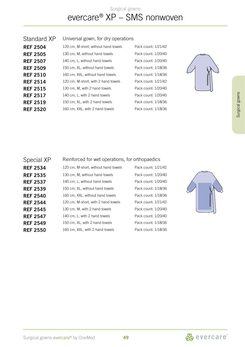### Surgical gowns evercare® XP – SMS nonwoven

| 120 cm, M-short, without hand towels | F                                  |
|--------------------------------------|------------------------------------|
| 130 cm, M, without hand towels       | F                                  |
| 140 cm, L, without hand towels       | F                                  |
| 150 cm, XL, without hand towels      | F                                  |
| 160 cm, XXL, without hand towels     | F                                  |
| 120 cm, M-short, with 2 hand towels  | F                                  |
| 130 cm, M, with 2 hand towels        | F                                  |
| 140 cm, L, with 2 hand towels        | F                                  |
| 150 cm, XL, with 2 hand towels       | F                                  |
| 160 cm, XXL, with 2 hand towels      | F                                  |
|                                      | Universal gown, for dry operations |

Pack count: 1/21/42 Pack count: 1/20/40 Pack count: 1/20/40 Pack count: 1/18/36 Pack count: 1/18/36 **Pack count: 1/21/42** Pack count: 1/20/40 Pack count: 1/20/40 Pack count: 1/18/36 Pack count: 1/18/36



| Special XP      | Reinforced for wet operations, for orthopaedics |                     |  |
|-----------------|-------------------------------------------------|---------------------|--|
| <b>REF 2534</b> | 120 cm, M-short, without hand towels            | Pack count: 1/21/42 |  |
| <b>REF 2535</b> | 130 cm, M, without hand towels                  | Pack count: 1/20/40 |  |
| <b>REF 2537</b> | 140 cm, L, without hand towels                  | Pack count: 1/20/40 |  |
| <b>REF 2539</b> | 150 cm, XL, without hand towels                 | Pack count: 1/18/36 |  |
| <b>REF 2540</b> | 160 cm, XXL, without hand towels                | Pack count: 1/18/36 |  |
| <b>REF 2544</b> | 120 cm, M-short, with 2 hand towels             | Pack count: 1/21/42 |  |
| <b>REF 2545</b> | 130 cm, M, with 2 hand towels                   | Pack count: 1/20/40 |  |
| <b>REF 2547</b> | 140 cm, L, with 2 hand towels                   | Pack count: 1/20/40 |  |
| <b>REF 2549</b> | 150 cm, XL, with 2 hand towels                  | Pack count: 1/18/36 |  |
| <b>REF 2550</b> | 160 cm, XXL, with 2 hand towels                 | Pack count: 1/18/36 |  |



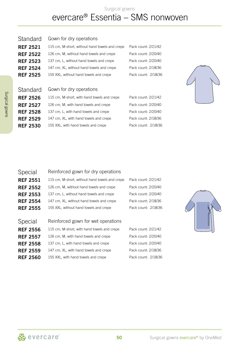### Surgical gowns evercare® Essentia – SMS nonwoven

| <b>REF 2522</b> | 126 cm, M, without hand towels and crepe       | Pack count: 2/20/40 |
|-----------------|------------------------------------------------|---------------------|
| <b>REF 2523</b> | 137 cm, L, without hand towels and crepe       | Pack count: 2/20/40 |
| <b>REF 2524</b> | 147 cm, XL, without hand towels and crepe      | Pack count: 2/18/36 |
| <b>REF 2525</b> | 155 XXL, without hand towels and crepe         | Pack count: 2/18/36 |
| Standard        | Gown for dry operations                        |                     |
| <b>REF 2526</b> | 115 cm, M-short, with hand towels and crepe    | Pack count: 2/21/42 |
| <b>REF 2527</b> | 126 cm, M, with hand towels and crepe          | Pack count: 2/20/40 |
| <b>REF 2528</b> | 137 cm, L, with hand towels and crepe          | Pack count: 2/20/40 |
| <b>REF 2529</b> | 147 cm, XL, with hand towels and crepe         | Pack count: 2/18/36 |
| <b>REF 2530</b> | 155 XXL, with hand towels and crepe            | Pack count: 2/18/36 |
|                 |                                                |                     |
|                 |                                                |                     |
|                 |                                                |                     |
|                 |                                                |                     |
| Special         | Reinforced gown for dry operations             |                     |
| <b>REF 2551</b> | 115 cm, M-short, without hand towels and crepe | Pack count: 2/21/42 |
| <b>RFF 2552</b> | 126 cm, M, without hand towels and crepe       | Pack count: 2/20/40 |

REF 2521 115 cm, M-short, without hand towels and crepe Pack count: 2/21/42

Standard Gown for dry operations



| <b>REF 2551</b> | 115 cm, M-short, without hand towels and crepe | Pack count: 2/21/42 |
|-----------------|------------------------------------------------|---------------------|
| <b>REF 2552</b> | 126 cm, M, without hand towels and crepe       | Pack count: 2/20/40 |
| <b>REF 2553</b> | 137 cm, L, without hand towels and crepe       | Pack count: 2/20/40 |
| <b>REF 2554</b> | 147 cm, XL, without hand towels and crepe      | Pack count: 2/18/36 |
| <b>REF 2555</b> | 155 XXL, without hand towels and crepe         | Pack count: 2/18/36 |
|                 |                                                |                     |
| Special         | Reinforced gown for wet operations             |                     |
| <b>REF 2556</b> | 115 cm, M-short, with hand towels and crepe    | Pack count: 2/21/42 |
| <b>REF 2557</b> | 126 cm, M, with hand towels and crepe          | Pack count: 2/20/40 |
| <b>REF 2558</b> | 137 cm, L, with hand towels and crepe          | Pack count: 2/20/40 |
| <b>REF 2559</b> | 147 cm, XL, with hand towels and crepe         | Pack count: 2/18/36 |
| <b>REF 2560</b> | 155 XXL, with hand towels and crepe            | Pack count: 2/18/36 |
|                 |                                                |                     |

| <b>REF 2552</b> | 126 cm, M, without hand towels and crepe    | Pack cou |
|-----------------|---------------------------------------------|----------|
| <b>REF 2553</b> | 137 cm, L, without hand towels and crepe    | Pack cou |
| <b>REF 2554</b> | 147 cm, XL, without hand towels and crepe   | Pack cou |
| <b>REF 2555</b> | 155 XXL, without hand towels and crepe      | Pack cou |
|                 |                                             |          |
| Special         | Reinforced gown for wet operations          |          |
| <b>REF 2556</b> | 115 cm, M-short, with hand towels and crepe | Pack cou |
| <b>REF 2557</b> | 126 cm, M, with hand towels and crepe       | Pack cou |
| <b>REF 2558</b> | 137 cm, L, with hand towels and crepe       | Pack cou |
| <b>REF 2559</b> | 147 cm, XL, with hand towels and crepe      | Pack cou |
| <b>REF 2560</b> | 155 XXL, with hand towels and crepe         | Pack cou |
|                 |                                             |          |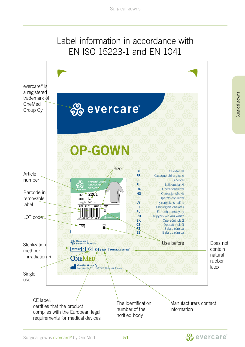## Label information in accordance with EN ISO 15223-1 and EN 1041